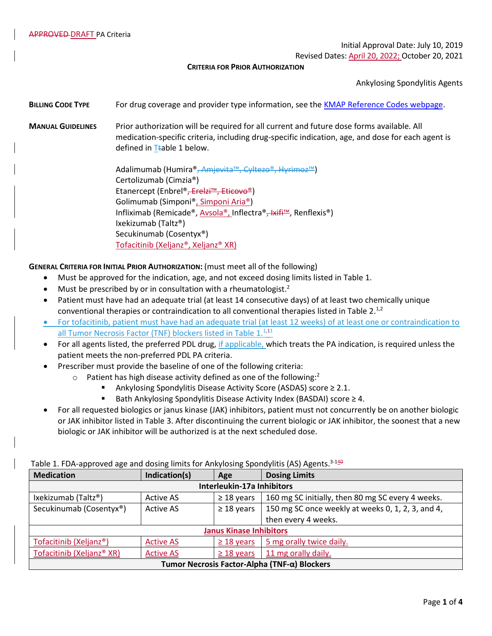Initial Approval Date: July 10, 2019

Revised Dates: April 20, 2022; October 20, 2021

**CRITERIA FOR PRIOR AUTHORIZATION**

Ankylosing Spondylitis Agents

**BILLING CODE TYPE** For drug coverage and provider type information, see the [KMAP Reference Codes webpage.](https://www.kmap-state-ks.us/Provider/PRICING/RefCode.asp)

- **MANUAL GUIDELINES** Prior authorization will be required for all current and future dose forms available. All medication-specific criteria, including drug-specific indication, age, and dose for each agent is defined in  $T$ table 1 below.
	- Adalimumab (Humira®, Amjevita™, Cyltezo®, Hyrimoz™) Certolizumab (Cimzia®) Etanercept (Enbrel®<del>, Erelzi™, Eticovo®</del>) Golimumab (Simponi®, Simponi Aria®) Infliximab (Remicade®, Avsola®, Inflectra®, Ixifi™, Renflexis®) Ixekizumab (Taltz®) Secukinumab (Cosentyx®) Tofacitinib (Xeljanz®, Xeljanz® XR)

#### **GENERAL CRITERIA FOR INITIAL PRIOR AUTHORIZATION:** (must meet all of the following)

- Must be approved for the indication, age, and not exceed dosing limits listed in Table 1.
- $\bullet$  Must be prescribed by or in consultation with a rheumatologist.<sup>2</sup>
- Patient must have had an adequate trial (at least 14 consecutive days) of at least two chemically unique conventional therapies or contraindication to all conventional therapies listed in Table 2.<sup>1,2</sup>
- For tofacitinib, patient must have had an adequate trial (at least 12 weeks) of at least one or contraindication to all Tumor Necrosis Factor (TNF) blockers listed in Table 1.<sup>1,11</sup>
- For all agents listed, the preferred PDL drug, if applicable, which treats the PA indication, is required unless the patient meets the non-preferred PDL PA criteria.
- Prescriber must provide the baseline of one of the following criteria:
	- $\circ$  Patient has high disease activity defined as one of the following:<sup>2</sup>
		- Ankylosing Spondylitis Disease Activity Score (ASDAS) score ≥ 2.1.
		- Bath Ankylosing Spondylitis Disease Activity Index (BASDAI) score ≥ 4.
- For all requested biologics or janus kinase (JAK) inhibitors, patient must not concurrently be on another biologic or JAK inhibitor listed in Table 3. After discontinuing the current biologic or JAK inhibitor, the soonest that a new biologic or JAK inhibitor will be authorized is at the next scheduled dose.

| <b>Medication</b>                            | Indication(s)    | Age             | <b>Dosing Limits</b>                              |  |  |
|----------------------------------------------|------------------|-----------------|---------------------------------------------------|--|--|
| Interleukin-17a Inhibitors                   |                  |                 |                                                   |  |  |
| Ixekizumab (Taltz®)                          | <b>Active AS</b> | $\geq$ 18 years | 160 mg SC initially, then 80 mg SC every 4 weeks. |  |  |
| Secukinumab (Cosentyx®)                      | <b>Active AS</b> | $\geq$ 18 years | 150 mg SC once weekly at weeks 0, 1, 2, 3, and 4, |  |  |
|                                              |                  |                 | then every 4 weeks.                               |  |  |
| <b>Janus Kinase Inhibitors</b>               |                  |                 |                                                   |  |  |
| Tofacitinib (Xeljanz®)                       | <b>Active AS</b> | $\geq$ 18 years | 5 mg orally twice daily.                          |  |  |
| Tofacitinib (Xeljanz® XR)                    | <b>Active AS</b> | $\geq$ 18 years | 11 mg orally daily.                               |  |  |
| Tumor Necrosis Factor-Alpha (TNF-α) Blockers |                  |                 |                                                   |  |  |

## Table 1. FDA-approved age and dosing limits for Ankylosing Spondylitis (AS) Agents.<sup>3-140</sup>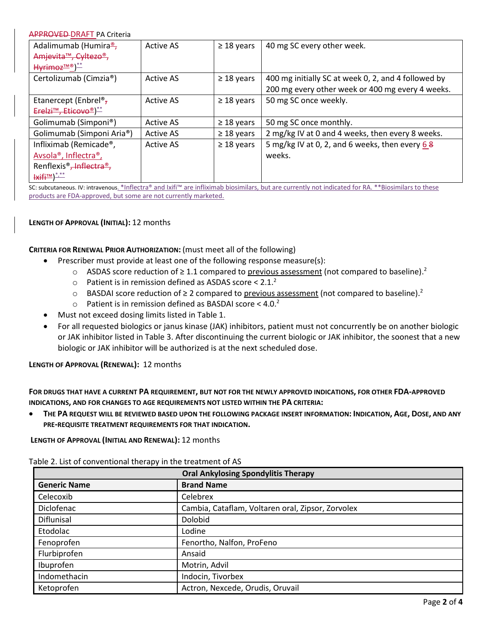### APPROVED DRAFT PA Criteria

| Adalimumab (Humira <sup>®</sup> ,                                                                                                                                                                                                                                                                                   | <b>Active AS</b> | $\geq$ 18 years | 40 mg SC every other week.                          |
|---------------------------------------------------------------------------------------------------------------------------------------------------------------------------------------------------------------------------------------------------------------------------------------------------------------------|------------------|-----------------|-----------------------------------------------------|
| Amjevita <sup>™</sup> , Cyltezo <sup>®</sup> ,                                                                                                                                                                                                                                                                      |                  |                 |                                                     |
| $Hv$ imoz <sup>IM®</sup> ) <sup>**</sup>                                                                                                                                                                                                                                                                            |                  |                 |                                                     |
| Certolizumab (Cimzia®)                                                                                                                                                                                                                                                                                              | <b>Active AS</b> | $\geq$ 18 years | 400 mg initially SC at week 0, 2, and 4 followed by |
|                                                                                                                                                                                                                                                                                                                     |                  |                 | 200 mg every other week or 400 mg every 4 weeks.    |
| Etanercept (Enbrel <sup>®</sup> ,                                                                                                                                                                                                                                                                                   | <b>Active AS</b> | $\geq$ 18 years | 50 mg SC once weekly.                               |
| $Erelzi^{TM}$ , Eticovo <sup>®</sup> ) <sup>**</sup>                                                                                                                                                                                                                                                                |                  |                 |                                                     |
| Golimumab (Simponi®)                                                                                                                                                                                                                                                                                                | <b>Active AS</b> | $\geq$ 18 years | 50 mg SC once monthly.                              |
| Golimumab (Simponi Aria®)                                                                                                                                                                                                                                                                                           | <b>Active AS</b> | $\geq$ 18 years | 2 mg/kg IV at 0 and 4 weeks, then every 8 weeks.    |
| Infliximab (Remicade®,                                                                                                                                                                                                                                                                                              | <b>Active AS</b> | $\geq$ 18 years | 5 mg/kg IV at 0, 2, and 6 weeks, then every $68$    |
| Avsola <sup>®</sup> , Inflectra <sup>®</sup> ,                                                                                                                                                                                                                                                                      |                  |                 | weeks.                                              |
| Renflexis <sup>®</sup> , Inflectra <sup>®</sup> ,                                                                                                                                                                                                                                                                   |                  |                 |                                                     |
| $\frac{1}{1}$ $\frac{1}{1}$ $\frac{1}{1}$ $\frac{1}{1}$ $\frac{1}{1}$ $\frac{1}{1}$ $\frac{1}{1}$ $\frac{1}{1}$ $\frac{1}{1}$ $\frac{1}{1}$ $\frac{1}{1}$ $\frac{1}{1}$ $\frac{1}{1}$ $\frac{1}{1}$ $\frac{1}{1}$ $\frac{1}{1}$ $\frac{1}{1}$ $\frac{1}{1}$ $\frac{1}{1}$ $\frac{1}{1}$ $\frac{1}{1}$ $\frac{1}{1}$ |                  |                 |                                                     |

SC: subcutaneous. IV: intravenous. \*Inflectra® and Ixifi™ are infliximab biosimilars, but are currently not indicated for RA. \*\*Biosimilars to these products are FDA-approved, but some are not currently marketed.

## **LENGTH OF APPROVAL (INITIAL):** 12 months

#### **CRITERIA FOR RENEWAL PRIOR AUTHORIZATION:** (must meet all of the following)

- Prescriber must provide at least one of the following response measure(s):
	- ASDAS score reduction of  $\geq 1.1$  compared to previous assessment (not compared to baseline).<sup>2</sup>
	- $\circ$  Patient is in remission defined as ASDAS score < 2.1.<sup>2</sup>
	- BASDAI score reduction of ≥ 2 compared to previous assessment (not compared to baseline).<sup>2</sup>
	- $\circ$  Patient is in remission defined as BASDAI score < 4.0.<sup>2</sup>
- Must not exceed dosing limits listed in Table 1.
- For all requested biologics or janus kinase (JAK) inhibitors, patient must not concurrently be on another biologic or JAK inhibitor listed in Table 3. After discontinuing the current biologic or JAK inhibitor, the soonest that a new biologic or JAK inhibitor will be authorized is at the next scheduled dose.

# **LENGTH OF APPROVAL (RENEWAL):** 12 months

**FOR DRUGS THAT HAVE A CURRENT PA REQUIREMENT, BUT NOT FOR THE NEWLY APPROVED INDICATIONS, FOR OTHER FDA-APPROVED INDICATIONS, AND FOR CHANGES TO AGE REQUIREMENTS NOT LISTED WITHIN THE PA CRITERIA:**

• **THE PA REQUEST WILL BE REVIEWED BASED UPON THE FOLLOWING PACKAGE INSERT INFORMATION: INDICATION, AGE, DOSE, AND ANY PRE-REQUISITE TREATMENT REQUIREMENTS FOR THAT INDICATION.**

**LENGTH OF APPROVAL (INITIAL AND RENEWAL):** 12 months

Table 2. List of conventional therapy in the treatment of AS

| <b>Oral Ankylosing Spondylitis Therapy</b> |                                                   |  |  |  |
|--------------------------------------------|---------------------------------------------------|--|--|--|
| <b>Generic Name</b>                        | <b>Brand Name</b>                                 |  |  |  |
| Celecoxib                                  | Celebrex                                          |  |  |  |
| Diclofenac                                 | Cambia, Cataflam, Voltaren oral, Zipsor, Zorvolex |  |  |  |
| Diflunisal                                 | Dolobid                                           |  |  |  |
| Etodolac                                   | Lodine                                            |  |  |  |
| Fenoprofen                                 | Fenortho, Nalfon, ProFeno                         |  |  |  |
| Flurbiprofen                               | Ansaid                                            |  |  |  |
| Ibuprofen                                  | Motrin, Advil                                     |  |  |  |
| Indomethacin                               | Indocin, Tivorbex                                 |  |  |  |
| Ketoprofen                                 | Actron, Nexcede, Orudis, Oruvail                  |  |  |  |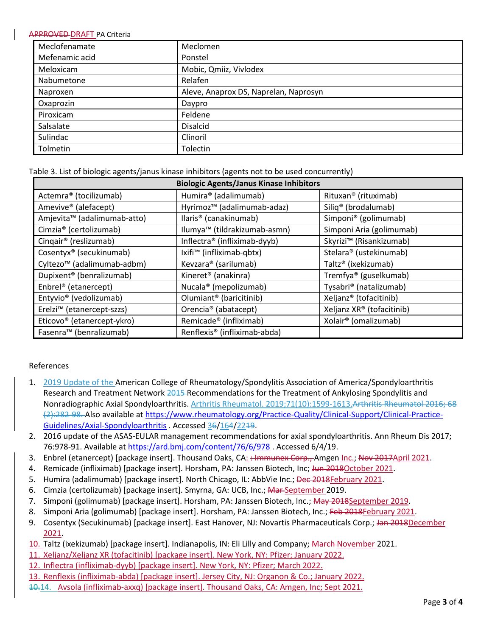#### **APPROVED-DRAFT PA Criteria**

| Meclofenamate  | Meclomen                              |  |
|----------------|---------------------------------------|--|
| Mefenamic acid | Ponstel                               |  |
| Meloxicam      | Mobic, Qmiiz, Vivlodex                |  |
| Nabumetone     | Relafen                               |  |
| Naproxen       | Aleve, Anaprox DS, Naprelan, Naprosyn |  |
| Oxaprozin      | Daypro                                |  |
| Piroxicam      | Feldene                               |  |
| Salsalate      | <b>Disalcid</b>                       |  |
| Sulindac       | Clinoril                              |  |
| Tolmetin       | Tolectin                              |  |

Table 3. List of biologic agents/janus kinase inhibitors (agents not to be used concurrently)

| <b>Biologic Agents/Janus Kinase Inhibitors</b> |                                          |                                     |  |  |  |
|------------------------------------------------|------------------------------------------|-------------------------------------|--|--|--|
| Actemra <sup>®</sup> (tocilizumab)             | Humira® (adalimumab)                     | Rituxan <sup>®</sup> (rituximab)    |  |  |  |
| Amevive <sup>®</sup> (alefacept)               | Hyrimoz <sup>™</sup> (adalimumab-adaz)   | Siliq <sup>®</sup> (brodalumab)     |  |  |  |
| Amjevita <sup>™</sup> (adalimumab-atto)        | llaris <sup>®</sup> (canakinumab)        | Simponi <sup>®</sup> (golimumab)    |  |  |  |
| Cimzia <sup>®</sup> (certolizumab)             | Ilumya <sup>™</sup> (tildrakizumab-asmn) | Simponi Aria (golimumab)            |  |  |  |
| Cingair <sup>®</sup> (reslizumab)              | Inflectra® (infliximab-dyyb)             | Skyrizi <sup>™</sup> (Risankizumab) |  |  |  |
| Cosentyx <sup>®</sup> (secukinumab)            | Ixifi <sup>™</sup> (infliximab-qbtx)     | Stelara® (ustekinumab)              |  |  |  |
| Cyltezo <sup>™</sup> (adalimumab-adbm)         | Kevzara® (sarilumab)                     | Taltz <sup>®</sup> (ixekizumab)     |  |  |  |
| Dupixent <sup>®</sup> (benralizumab)           | Kineret <sup>®</sup> (anakinra)          | Tremfya® (guselkumab)               |  |  |  |
| Enbrel <sup>®</sup> (etanercept)               | Nucala <sup>®</sup> (mepolizumab)        | Tysabri <sup>®</sup> (natalizumab)  |  |  |  |
| Entyvio <sup>®</sup> (vedolizumab)             | Olumiant <sup>®</sup> (baricitinib)      | Xeljanz® (tofacitinib)              |  |  |  |
| Erelzi <sup>™</sup> (etanercept-szzs)          | Orencia <sup>®</sup> (abatacept)         | Xeljanz XR® (tofacitinib)           |  |  |  |
| Eticovo <sup>®</sup> (etanercept-ykro)         | Remicade <sup>®</sup> (infliximab)       | Xolair <sup>®</sup> (omalizumab)    |  |  |  |
| Fasenra <sup>™</sup> (benralizumab)            | Renflexis <sup>®</sup> (infliximab-abda) |                                     |  |  |  |

# References

- 1. 2019 Update of the American College of Rheumatology/Spondylitis Association of America/Spondyloarthritis Research and Treatment Network 2015 Recommendations for the Treatment of Ankylosing Spondylitis and Nonradiographic Axial Spondyloarthritis. Arthritis Rheumatol. 2019;71(10):1599-1613.Arthritis Rheumatol 2016; 68 (2):282-98. Also available a[t https://www.rheumatology.org/Practice-Quality/Clinical-Support/Clinical-Practice-](https://www.rheumatology.org/Practice-Quality/Clinical-Support/Clinical-Practice-Guidelines/Axial-Spondyloarthritis)[Guidelines/Axial-Spondyloarthritis](https://www.rheumatology.org/Practice-Quality/Clinical-Support/Clinical-Practice-Guidelines/Axial-Spondyloarthritis) . Accessed 36/164/2219.
- 2. 2016 update of the ASAS-EULAR management recommendations for axial spondyloarthritis. Ann Rheum Dis 2017; 76:978-91. Available at<https://ard.bmj.com/content/76/6/978> . Accessed 6/4/19.
- 3. Enbrel (etanercept) [package insert]. Thousand Oaks, CA: : Immunex Corp., Amgen Inc.; Nov 2017April 2021.
- 4. Remicade (infliximab) [package insert]. Horsham, PA: Janssen Biotech, Inc; Jun 2018October 2021.
- 5. Humira (adalimumab) [package insert]. North Chicago, IL: AbbVie Inc.; Dec 2018February 2021.
- 6. Cimzia (certolizumab) [package insert]. Smyrna, GA: UCB, Inc.; Mar September 2019.
- 7. Simponi (golimumab) [package insert]. Horsham, PA: Janssen Biotech, Inc.; May 2018September 2019.
- 8. Simponi Aria (golimumab) [package insert]. Horsham, PA: Janssen Biotech, Inc.; Feb 2018February 2021.
- 9. Cosentyx (Secukinumab) [package insert]. East Hanover, NJ: Novartis Pharmaceuticals Corp.; Jan 2018December 2021.
- 10. Taltz (ixekizumab) [package insert]. Indianapolis, IN: Eli Lilly and Company; March November 2021.
- 11. Xeljanz/Xeljanz XR (tofacitinib) [package insert]. New York, NY: Pfizer; January 2022.
- 12. Inflectra (infliximab-dyyb) [package insert]. New York, NY: Pfizer; March 2022.
- 13. Renflexis (infliximab-abda) [package insert]. Jersey City, NJ: Organon & Co.; January 2022.
- 10.14. Avsola (infliximab-axxq) [package insert]. Thousand Oaks, CA: Amgen, Inc; Sept 2021.